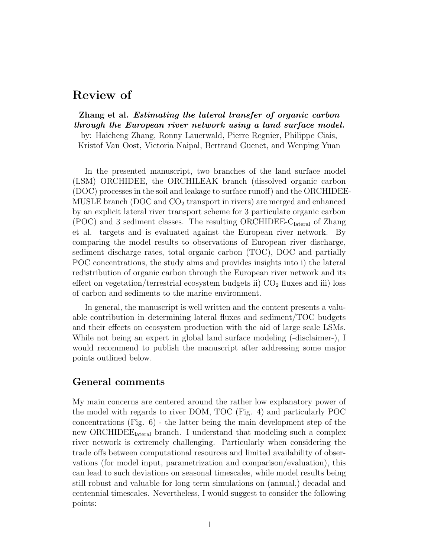# Review of

Zhang et al. Estimating the lateral transfer of organic carbon through the European river network using a land surface model. by: Haicheng Zhang, Ronny Lauerwald, Pierre Regnier, Philippe Ciais, Kristof Van Oost, Victoria Naipal, Bertrand Guenet, and Wenping Yuan

In the presented manuscript, two branches of the land surface model (LSM) ORCHIDEE, the ORCHILEAK branch (dissolved organic carbon (DOC) processes in the soil and leakage to surface runoff) and the ORCHIDEE-MUSLE branch (DOC and  $CO<sub>2</sub>$  transport in rivers) are merged and enhanced by an explicit lateral river transport scheme for 3 particulate organic carbon  $(POC)$  and 3 sediment classes. The resulting ORCHIDEE-C<sub>lateral</sub> of Zhang et al. targets and is evaluated against the European river network. By comparing the model results to observations of European river discharge, sediment discharge rates, total organic carbon (TOC), DOC and partially POC concentrations, the study aims and provides insights into i) the lateral redistribution of organic carbon through the European river network and its effect on vegetation/terrestrial ecosystem budgets ii)  $CO<sub>2</sub>$  fluxes and iii) loss of carbon and sediments to the marine environment.

In general, the manuscript is well written and the content presents a valuable contribution in determining lateral fluxes and sediment/TOC budgets and their effects on ecosystem production with the aid of large scale LSMs. While not being an expert in global land surface modeling (-disclaimer-), I would recommend to publish the manuscript after addressing some major points outlined below.

## General comments

My main concerns are centered around the rather low explanatory power of the model with regards to river DOM, TOC (Fig. 4) and particularly POC concentrations (Fig. 6) - the latter being the main development step of the new ORCHIDEElateral branch. I understand that modeling such a complex river network is extremely challenging. Particularly when considering the trade offs between computational resources and limited availability of observations (for model input, parametrization and comparison/evaluation), this can lead to such deviations on seasonal timescales, while model results being still robust and valuable for long term simulations on (annual,) decadal and centennial timescales. Nevertheless, I would suggest to consider the following points: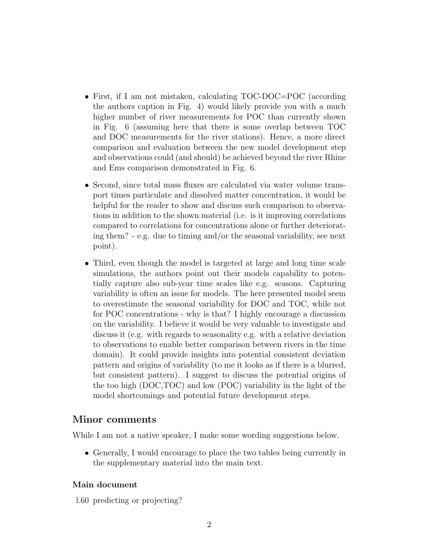- First, if I am not mistaken, calculating TOC-DOC=POC (according the authors caption in Fig. 4) would likely provide you with a much higher number of river measurements for POC than currently shown in Fig. 6 (assuming here that there is some overlap between TOC and DOC measurements for the river stations). Hence, a more direct comparison and evaluation between the new model development step and observations could (and should) be achieved beyond the river Rhine and Ems comparison demonstrated in Fig. 6.
- Second, since total mass fluxes are calculated via water volume transport times particulate and dissolved matter concentration, it would be helpful for the reader to show and discuss such comparison to observations in addition to the shown material (i.e. is it improving correlations compared to correlations for concentrations alone or further deteriorating them? - e.g. due to timing and/or the seasonal variability, see next point).
- Third, even though the model is targeted at large and long time scale simulations, the authors point out their models capability to potentially capture also sub-year time scales like e.g. seasons. Capturing variability is often an issue for models. The here presented model seem to overestimate the seasonal variability for DOC and TOC, while not for POC concentrations - why is that? I highly encourage a discussion on the variability. I believe it would be very valuable to investigate and discuss it (e.g. with regards to seasonality e.g. with a relative deviation to observations to enable better comparison between rivers in the time domain). It could provide insights into potential consistent deviation pattern and origins of variability (to me it looks as if there is a blurred, but consistent pattern). I suggest to discuss the potential origins of the too high (DOC,TOC) and low (POC) variability in the light of the model shortcomings and potential future development steps.

## Minor comments

While I am not a native speaker, I make some wording suggestions below.

• Generally, I would encourage to place the two tables being currently in the supplementary material into the main text.

#### Main document

l.60 predicting or projecting?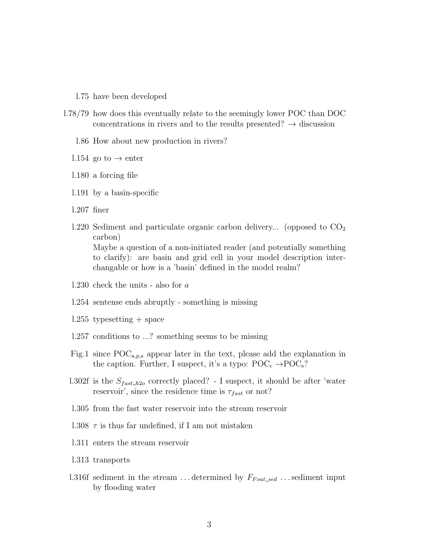- l.75 have been developed
- l.78/79 how does this eventually relate to the seemingly lower POC than DOC concentrations in rivers and to the results presented?  $\rightarrow$  discussion
	- l.86 How about new production in rivers?
	- l.154 go to  $\rightarrow$  enter
	- l.180 a forcing file
	- l.191 by a basin-specific
	- l.207 finer
	- 1.220 Sediment and particulate organic carbon delivery... (opposed to  $CO<sub>2</sub>$ carbon) Maybe a question of a non-initiated reader (and potentially something to clarify): are basin and grid cell in your model description interchangable or how is a 'basin' defined in the model realm?
	- l.230 check the units also for a
	- l.254 sentense ends abruptly something is missing
	- $1.255$  typesetting  $+$  space
	- l.257 conditions to ...? something seems to be missing
	- Fig.1 since  $\text{POC}_{a,p,s}$  appear later in the text, please add the explanation in the caption. Further, I suspect, it's a typo:  $\text{POC}_c \rightarrow \text{POC}_s$ ?
	- l.302f is the  $S_{fast\_h2o}$  correctly placed? I suspect, it should be after 'water reservoir', since the residence time is  $\tau_{fast}$  or not?
	- l.305 from the fast water reservoir into the stream reservoir
	- l.308  $\tau$  is thus far undefined, if I am not mistaken
	- l.311 enters the stream reservoir
	- l.313 transports
	- l.316f sediment in the stream ... determined by  $F_{Fout\_sed}$  ... sediment input by flooding water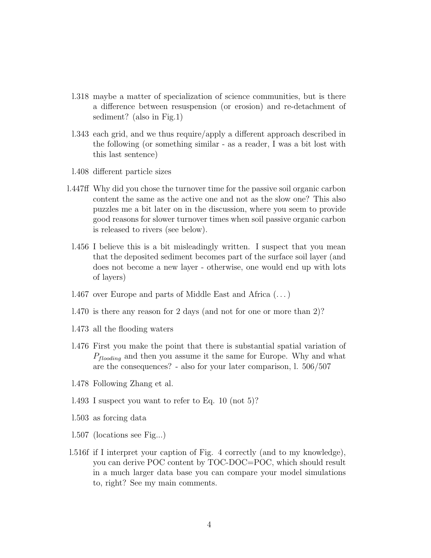- l.318 maybe a matter of specialization of science communities, but is there a difference between resuspension (or erosion) and re-detachment of sediment? (also in Fig.1)
- l.343 each grid, and we thus require/apply a different approach described in the following (or something similar - as a reader, I was a bit lost with this last sentence)
- l.408 different particle sizes
- l.447ff Why did you chose the turnover time for the passive soil organic carbon content the same as the active one and not as the slow one? This also puzzles me a bit later on in the discussion, where you seem to provide good reasons for slower turnover times when soil passive organic carbon is released to rivers (see below).
	- l.456 I believe this is a bit misleadingly written. I suspect that you mean that the deposited sediment becomes part of the surface soil layer (and does not become a new layer - otherwise, one would end up with lots of layers)
	- l.467 over Europe and parts of Middle East and Africa (. . . )
- l.470 is there any reason for 2 days (and not for one or more than 2)?
- l.473 all the flooding waters
- l.476 First you make the point that there is substantial spatial variation of  $P_{floading}$  and then you assume it the same for Europe. Why and what are the consequences? - also for your later comparison, l. 506/507
- l.478 Following Zhang et al.
- l.493 I suspect you want to refer to Eq. 10 (not 5)?
- l.503 as forcing data
- l.507 (locations see Fig...)
- l.516f if I interpret your caption of Fig. 4 correctly (and to my knowledge), you can derive POC content by TOC-DOC=POC, which should result in a much larger data base you can compare your model simulations to, right? See my main comments.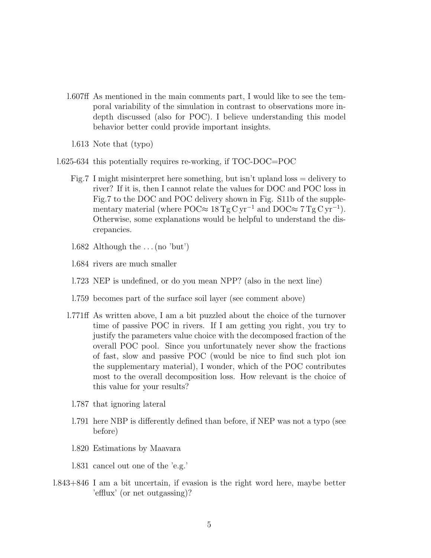- l.607ff As mentioned in the main comments part, I would like to see the temporal variability of the simulation in contrast to observations more indepth discussed (also for POC). I believe understanding this model behavior better could provide important insights.
	- l.613 Note that (typo)
- l.625-634 this potentially requires re-working, if TOC-DOC=POC
	- Fig.7 I might misinterpret here something, but isn't upland  $loss =$  delivery to river? If it is, then I cannot relate the values for DOC and POC loss in Fig.7 to the DOC and POC delivery shown in Fig. S11b of the supplementary material (where POC≈  $18 \text{ Tg C yr}^{-1}$  and DOC≈  $7 \text{ Tg C yr}^{-1}$ ). Otherwise, some explanations would be helpful to understand the discrepancies.
	- 1.682 Although the  $\dots$  (no 'but')
	- l.684 rivers are much smaller
	- l.723 NEP is undefined, or do you mean NPP? (also in the next line)
	- l.759 becomes part of the surface soil layer (see comment above)
	- l.771ff As written above, I am a bit puzzled about the choice of the turnover time of passive POC in rivers. If I am getting you right, you try to justify the parameters value choice with the decomposed fraction of the overall POC pool. Since you unfortunately never show the fractions of fast, slow and passive POC (would be nice to find such plot ion the supplementary material), I wonder, which of the POC contributes most to the overall decomposition loss. How relevant is the choice of this value for your results?
		- l.787 that ignoring lateral
		- l.791 here NBP is differently defined than before, if NEP was not a typo (see before)
		- l.820 Estimations by Maavara
		- l.831 cancel out one of the 'e.g.'
- l.843+846 I am a bit uncertain, if evasion is the right word here, maybe better 'efflux' (or net outgassing)?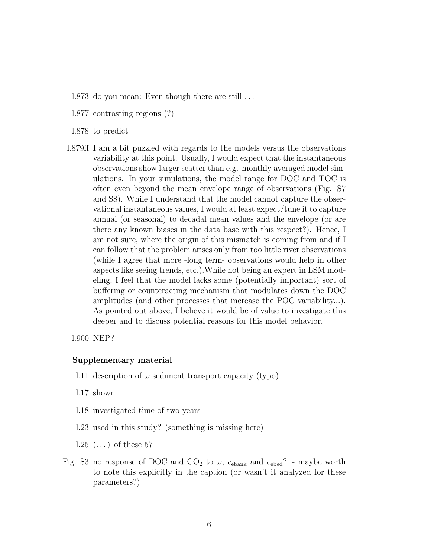- l.873 do you mean: Even though there are still . . .
- l.877 contrasting regions (?)
- l.878 to predict
- l.879ff I am a bit puzzled with regards to the models versus the observations variability at this point. Usually, I would expect that the instantaneous observations show larger scatter than e.g. monthly averaged model simulations. In your simulations, the model range for DOC and TOC is often even beyond the mean envelope range of observations (Fig. S7 and S8). While I understand that the model cannot capture the observational instantaneous values, I would at least expect/tune it to capture annual (or seasonal) to decadal mean values and the envelope (or are there any known biases in the data base with this respect?). Hence, I am not sure, where the origin of this mismatch is coming from and if I can follow that the problem arises only from too little river observations (while I agree that more -long term- observations would help in other aspects like seeing trends, etc.).While not being an expert in LSM modeling, I feel that the model lacks some (potentially important) sort of buffering or counteracting mechanism that modulates down the DOC amplitudes (and other processes that increase the POC variability...). As pointed out above, I believe it would be of value to investigate this deeper and to discuss potential reasons for this model behavior.

l.900 NEP?

#### Supplementary material

- l.11 description of  $\omega$  sediment transport capacity (typo)
- l.17 shown
- l.18 investigated time of two years
- l.23 used in this study? (something is missing here)
- $1.25$   $(\ldots)$  of these 57
- Fig. S3 no response of DOC and  $CO<sub>2</sub>$  to  $\omega$ ,  $c_{\text{ebank}}$  and  $e_{\text{ebed}}$ ? maybe worth to note this explicitly in the caption (or wasn't it analyzed for these parameters?)